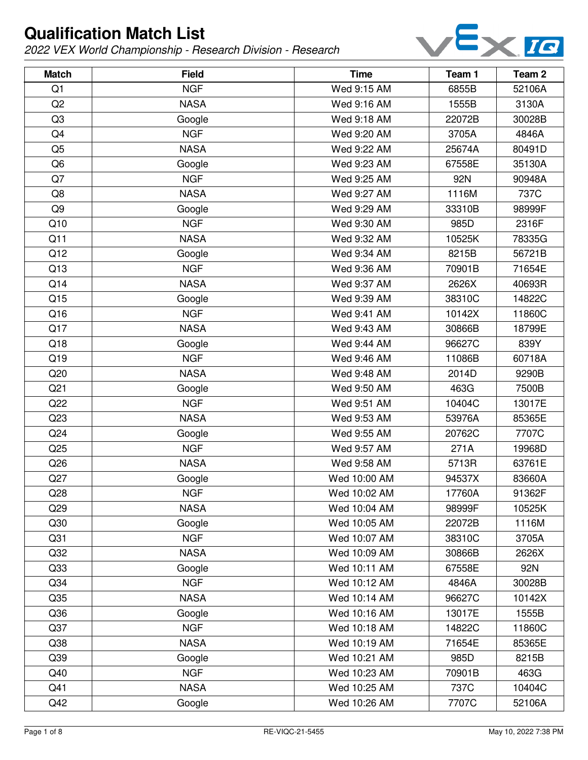

| <b>Match</b>    | <b>Field</b> | <b>Time</b>  | Team 1 | Team <sub>2</sub> |
|-----------------|--------------|--------------|--------|-------------------|
| Q1              | <b>NGF</b>   | Wed 9:15 AM  | 6855B  | 52106A            |
| Q2              | <b>NASA</b>  | Wed 9:16 AM  | 1555B  | 3130A             |
| Q <sub>3</sub>  | Google       | Wed 9:18 AM  | 22072B | 30028B            |
| Q4              | <b>NGF</b>   | Wed 9:20 AM  | 3705A  | 4846A             |
| Q <sub>5</sub>  | <b>NASA</b>  | Wed 9:22 AM  | 25674A | 80491D            |
| Q <sub>6</sub>  | Google       | Wed 9:23 AM  | 67558E | 35130A            |
| Q7              | <b>NGF</b>   | Wed 9:25 AM  | 92N    | 90948A            |
| Q8              | <b>NASA</b>  | Wed 9:27 AM  | 1116M  | 737C              |
| Q <sub>9</sub>  | Google       | Wed 9:29 AM  | 33310B | 98999F            |
| Q10             | <b>NGF</b>   | Wed 9:30 AM  | 985D   | 2316F             |
| Q11             | <b>NASA</b>  | Wed 9:32 AM  | 10525K | 78335G            |
| Q12             | Google       | Wed 9:34 AM  | 8215B  | 56721B            |
| Q13             | <b>NGF</b>   | Wed 9:36 AM  | 70901B | 71654E            |
| Q14             | <b>NASA</b>  | Wed 9:37 AM  | 2626X  | 40693R            |
| Q15             | Google       | Wed 9:39 AM  | 38310C | 14822C            |
| Q16             | <b>NGF</b>   | Wed 9:41 AM  | 10142X | 11860C            |
| Q17             | <b>NASA</b>  | Wed 9:43 AM  | 30866B | 18799E            |
| Q18             | Google       | Wed 9:44 AM  | 96627C | 839Y              |
| Q19             | <b>NGF</b>   | Wed 9:46 AM  | 11086B | 60718A            |
| Q20             | <b>NASA</b>  | Wed 9:48 AM  | 2014D  | 9290B             |
| Q <sub>21</sub> | Google       | Wed 9:50 AM  | 463G   | 7500B             |
| Q22             | <b>NGF</b>   | Wed 9:51 AM  | 10404C | 13017E            |
| Q23             | <b>NASA</b>  | Wed 9:53 AM  | 53976A | 85365E            |
| Q <sub>24</sub> | Google       | Wed 9:55 AM  | 20762C | 7707C             |
| Q25             | <b>NGF</b>   | Wed 9:57 AM  | 271A   | 19968D            |
| Q26             | <b>NASA</b>  | Wed 9:58 AM  | 5713R  | 63761E            |
| Q27             | Google       | Wed 10:00 AM | 94537X | 83660A            |
| Q28             | <b>NGF</b>   | Wed 10:02 AM | 17760A | 91362F            |
| Q <sub>29</sub> | <b>NASA</b>  | Wed 10:04 AM | 98999F | 10525K            |
| Q30             | Google       | Wed 10:05 AM | 22072B | 1116M             |
| Q <sub>31</sub> | <b>NGF</b>   | Wed 10:07 AM | 38310C | 3705A             |
| Q <sub>32</sub> | <b>NASA</b>  | Wed 10:09 AM | 30866B | 2626X             |
| Q33             | Google       | Wed 10:11 AM | 67558E | 92N               |
| Q <sub>34</sub> | <b>NGF</b>   | Wed 10:12 AM | 4846A  | 30028B            |
| Q <sub>35</sub> | <b>NASA</b>  | Wed 10:14 AM | 96627C | 10142X            |
| Q36             | Google       | Wed 10:16 AM | 13017E | 1555B             |
| Q <sub>37</sub> | <b>NGF</b>   | Wed 10:18 AM | 14822C | 11860C            |
| Q38             | <b>NASA</b>  | Wed 10:19 AM | 71654E | 85365E            |
| Q39             | Google       | Wed 10:21 AM | 985D   | 8215B             |
| Q40             | <b>NGF</b>   | Wed 10:23 AM | 70901B | 463G              |
| Q41             | <b>NASA</b>  | Wed 10:25 AM | 737C   | 10404C            |
| Q42             | Google       | Wed 10:26 AM | 7707C  | 52106A            |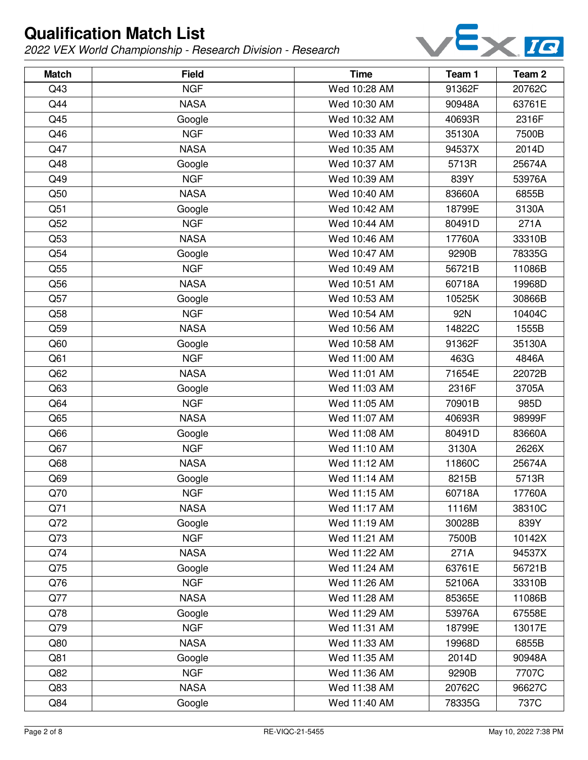

| <b>Match</b>    | <b>Field</b> | <b>Time</b>  | Team 1 | Team <sub>2</sub> |
|-----------------|--------------|--------------|--------|-------------------|
| Q43             | <b>NGF</b>   | Wed 10:28 AM | 91362F | 20762C            |
| Q44             | <b>NASA</b>  | Wed 10:30 AM | 90948A | 63761E            |
| Q45             | Google       | Wed 10:32 AM | 40693R | 2316F             |
| Q46             | <b>NGF</b>   | Wed 10:33 AM | 35130A | 7500B             |
| Q47             | <b>NASA</b>  | Wed 10:35 AM | 94537X | 2014D             |
| Q48             | Google       | Wed 10:37 AM | 5713R  | 25674A            |
| Q49             | <b>NGF</b>   | Wed 10:39 AM | 839Y   | 53976A            |
| Q50             | <b>NASA</b>  | Wed 10:40 AM | 83660A | 6855B             |
| Q51             | Google       | Wed 10:42 AM | 18799E | 3130A             |
| Q52             | <b>NGF</b>   | Wed 10:44 AM | 80491D | 271A              |
| Q53             | <b>NASA</b>  | Wed 10:46 AM | 17760A | 33310B            |
| Q54             | Google       | Wed 10:47 AM | 9290B  | 78335G            |
| Q55             | <b>NGF</b>   | Wed 10:49 AM | 56721B | 11086B            |
| Q56             | <b>NASA</b>  | Wed 10:51 AM | 60718A | 19968D            |
| Q57             | Google       | Wed 10:53 AM | 10525K | 30866B            |
| Q58             | <b>NGF</b>   | Wed 10:54 AM | 92N    | 10404C            |
| Q59             | <b>NASA</b>  | Wed 10:56 AM | 14822C | 1555B             |
| Q60             | Google       | Wed 10:58 AM | 91362F | 35130A            |
| Q61             | <b>NGF</b>   | Wed 11:00 AM | 463G   | 4846A             |
| Q <sub>62</sub> | <b>NASA</b>  | Wed 11:01 AM | 71654E | 22072B            |
| Q63             | Google       | Wed 11:03 AM | 2316F  | 3705A             |
| Q64             | <b>NGF</b>   | Wed 11:05 AM | 70901B | 985D              |
| Q65             | <b>NASA</b>  | Wed 11:07 AM | 40693R | 98999F            |
| Q66             | Google       | Wed 11:08 AM | 80491D | 83660A            |
| Q67             | <b>NGF</b>   | Wed 11:10 AM | 3130A  | 2626X             |
| Q68             | <b>NASA</b>  | Wed 11:12 AM | 11860C | 25674A            |
| Q69             | Google       | Wed 11:14 AM | 8215B  | 5713R             |
| Q70             | <b>NGF</b>   | Wed 11:15 AM | 60718A | 17760A            |
| Q71             | <b>NASA</b>  | Wed 11:17 AM | 1116M  | 38310C            |
| Q72             | Google       | Wed 11:19 AM | 30028B | 839Y              |
| Q73             | <b>NGF</b>   | Wed 11:21 AM | 7500B  | 10142X            |
| Q74             | <b>NASA</b>  | Wed 11:22 AM | 271A   | 94537X            |
| Q75             | Google       | Wed 11:24 AM | 63761E | 56721B            |
| Q76             | <b>NGF</b>   | Wed 11:26 AM | 52106A | 33310B            |
| Q77             | <b>NASA</b>  | Wed 11:28 AM | 85365E | 11086B            |
| Q78             | Google       | Wed 11:29 AM | 53976A | 67558E            |
| Q79             | <b>NGF</b>   | Wed 11:31 AM | 18799E | 13017E            |
| Q80             | <b>NASA</b>  | Wed 11:33 AM | 19968D | 6855B             |
| Q81             | Google       | Wed 11:35 AM | 2014D  | 90948A            |
| Q82             | <b>NGF</b>   | Wed 11:36 AM | 9290B  | 7707C             |
| Q83             | <b>NASA</b>  | Wed 11:38 AM | 20762C | 96627C            |
| Q84             | Google       | Wed 11:40 AM | 78335G | 737C              |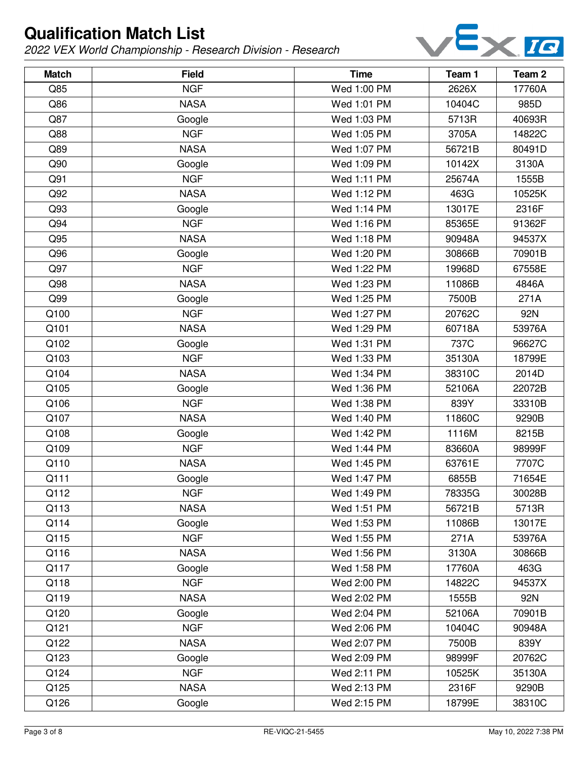

| <b>Match</b> | <b>Field</b> | <b>Time</b> | Team 1 | Team <sub>2</sub> |
|--------------|--------------|-------------|--------|-------------------|
| Q85          | <b>NGF</b>   | Wed 1:00 PM | 2626X  | 17760A            |
| Q86          | <b>NASA</b>  | Wed 1:01 PM | 10404C | 985D              |
| Q87          | Google       | Wed 1:03 PM | 5713R  | 40693R            |
| Q88          | <b>NGF</b>   | Wed 1:05 PM | 3705A  | 14822C            |
| Q89          | <b>NASA</b>  | Wed 1:07 PM | 56721B | 80491D            |
| Q90          | Google       | Wed 1:09 PM | 10142X | 3130A             |
| Q91          | <b>NGF</b>   | Wed 1:11 PM | 25674A | 1555B             |
| Q92          | <b>NASA</b>  | Wed 1:12 PM | 463G   | 10525K            |
| Q93          | Google       | Wed 1:14 PM | 13017E | 2316F             |
| Q94          | <b>NGF</b>   | Wed 1:16 PM | 85365E | 91362F            |
| Q95          | <b>NASA</b>  | Wed 1:18 PM | 90948A | 94537X            |
| Q96          | Google       | Wed 1:20 PM | 30866B | 70901B            |
| Q97          | <b>NGF</b>   | Wed 1:22 PM | 19968D | 67558E            |
| Q98          | <b>NASA</b>  | Wed 1:23 PM | 11086B | 4846A             |
| Q99          | Google       | Wed 1:25 PM | 7500B  | 271A              |
| Q100         | <b>NGF</b>   | Wed 1:27 PM | 20762C | 92N               |
| Q101         | <b>NASA</b>  | Wed 1:29 PM | 60718A | 53976A            |
| Q102         | Google       | Wed 1:31 PM | 737C   | 96627C            |
| Q103         | <b>NGF</b>   | Wed 1:33 PM | 35130A | 18799E            |
| Q104         | <b>NASA</b>  | Wed 1:34 PM | 38310C | 2014D             |
| Q105         | Google       | Wed 1:36 PM | 52106A | 22072B            |
| Q106         | <b>NGF</b>   | Wed 1:38 PM | 839Y   | 33310B            |
| Q107         | <b>NASA</b>  | Wed 1:40 PM | 11860C | 9290B             |
| Q108         | Google       | Wed 1:42 PM | 1116M  | 8215B             |
| Q109         | <b>NGF</b>   | Wed 1:44 PM | 83660A | 98999F            |
| Q110         | <b>NASA</b>  | Wed 1:45 PM | 63761E | 7707C             |
| Q111         | Google       | Wed 1:47 PM | 6855B  | 71654E            |
| Q112         | <b>NGF</b>   | Wed 1:49 PM | 78335G | 30028B            |
| Q113         | <b>NASA</b>  | Wed 1:51 PM | 56721B | 5713R             |
| Q114         | Google       | Wed 1:53 PM | 11086B | 13017E            |
| Q115         | <b>NGF</b>   | Wed 1:55 PM | 271A   | 53976A            |
| Q116         | <b>NASA</b>  | Wed 1:56 PM | 3130A  | 30866B            |
| Q117         | Google       | Wed 1:58 PM | 17760A | 463G              |
| Q118         | <b>NGF</b>   | Wed 2:00 PM | 14822C | 94537X            |
| Q119         | <b>NASA</b>  | Wed 2:02 PM | 1555B  | 92N               |
| Q120         | Google       | Wed 2:04 PM | 52106A | 70901B            |
| Q121         | <b>NGF</b>   | Wed 2:06 PM | 10404C | 90948A            |
| Q122         | <b>NASA</b>  | Wed 2:07 PM | 7500B  | 839Y              |
| Q123         | Google       | Wed 2:09 PM | 98999F | 20762C            |
| Q124         | <b>NGF</b>   | Wed 2:11 PM | 10525K | 35130A            |
| Q125         | <b>NASA</b>  | Wed 2:13 PM | 2316F  | 9290B             |
| Q126         | Google       | Wed 2:15 PM | 18799E | 38310C            |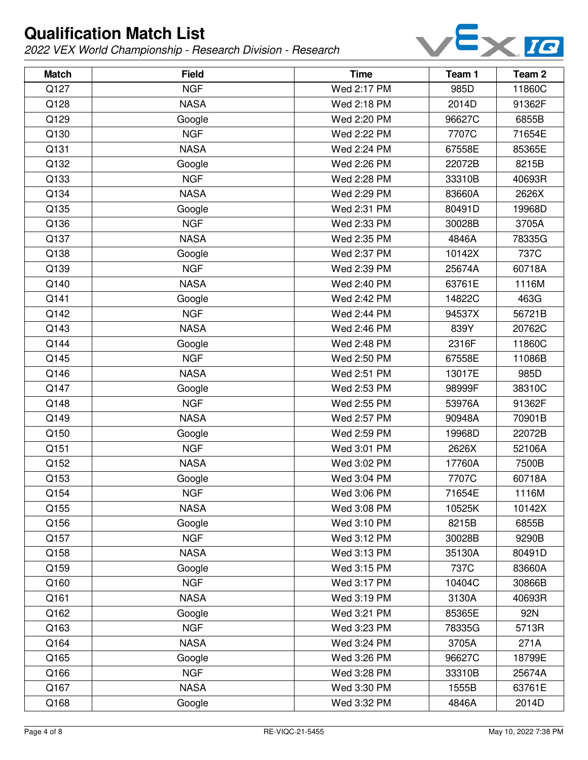

| <b>Match</b> | <b>Field</b> | <b>Time</b> | Team 1 | Team <sub>2</sub> |
|--------------|--------------|-------------|--------|-------------------|
| Q127         | <b>NGF</b>   | Wed 2:17 PM | 985D   | 11860C            |
| Q128         | <b>NASA</b>  | Wed 2:18 PM | 2014D  | 91362F            |
| Q129         | Google       | Wed 2:20 PM | 96627C | 6855B             |
| Q130         | <b>NGF</b>   | Wed 2:22 PM | 7707C  | 71654E            |
| Q131         | <b>NASA</b>  | Wed 2:24 PM | 67558E | 85365E            |
| Q132         | Google       | Wed 2:26 PM | 22072B | 8215B             |
| Q133         | <b>NGF</b>   | Wed 2:28 PM | 33310B | 40693R            |
| Q134         | <b>NASA</b>  | Wed 2:29 PM | 83660A | 2626X             |
| Q135         | Google       | Wed 2:31 PM | 80491D | 19968D            |
| Q136         | <b>NGF</b>   | Wed 2:33 PM | 30028B | 3705A             |
| Q137         | <b>NASA</b>  | Wed 2:35 PM | 4846A  | 78335G            |
| Q138         | Google       | Wed 2:37 PM | 10142X | 737C              |
| Q139         | <b>NGF</b>   | Wed 2:39 PM | 25674A | 60718A            |
| Q140         | <b>NASA</b>  | Wed 2:40 PM | 63761E | 1116M             |
| Q141         | Google       | Wed 2:42 PM | 14822C | 463G              |
| Q142         | <b>NGF</b>   | Wed 2:44 PM | 94537X | 56721B            |
| Q143         | <b>NASA</b>  | Wed 2:46 PM | 839Y   | 20762C            |
| Q144         | Google       | Wed 2:48 PM | 2316F  | 11860C            |
| Q145         | <b>NGF</b>   | Wed 2:50 PM | 67558E | 11086B            |
| Q146         | <b>NASA</b>  | Wed 2:51 PM | 13017E | 985D              |
| Q147         | Google       | Wed 2:53 PM | 98999F | 38310C            |
| Q148         | <b>NGF</b>   | Wed 2:55 PM | 53976A | 91362F            |
| Q149         | <b>NASA</b>  | Wed 2:57 PM | 90948A | 70901B            |
| Q150         | Google       | Wed 2:59 PM | 19968D | 22072B            |
| Q151         | <b>NGF</b>   | Wed 3:01 PM | 2626X  | 52106A            |
| Q152         | <b>NASA</b>  | Wed 3:02 PM | 17760A | 7500B             |
| Q153         | Google       | Wed 3:04 PM | 7707C  | 60718A            |
| Q154         | <b>NGF</b>   | Wed 3:06 PM | 71654E | 1116M             |
| Q155         | <b>NASA</b>  | Wed 3:08 PM | 10525K | 10142X            |
| Q156         | Google       | Wed 3:10 PM | 8215B  | 6855B             |
| Q157         | <b>NGF</b>   | Wed 3:12 PM | 30028B | 9290B             |
| Q158         | <b>NASA</b>  | Wed 3:13 PM | 35130A | 80491D            |
| Q159         | Google       | Wed 3:15 PM | 737C   | 83660A            |
| Q160         | <b>NGF</b>   | Wed 3:17 PM | 10404C | 30866B            |
| Q161         | <b>NASA</b>  | Wed 3:19 PM | 3130A  | 40693R            |
| Q162         | Google       | Wed 3:21 PM | 85365E | 92N               |
| Q163         | <b>NGF</b>   | Wed 3:23 PM | 78335G | 5713R             |
| Q164         | <b>NASA</b>  | Wed 3:24 PM | 3705A  | 271A              |
| Q165         | Google       | Wed 3:26 PM | 96627C | 18799E            |
| Q166         | <b>NGF</b>   | Wed 3:28 PM | 33310B | 25674A            |
| Q167         | <b>NASA</b>  | Wed 3:30 PM | 1555B  | 63761E            |
| Q168         | Google       | Wed 3:32 PM | 4846A  | 2014D             |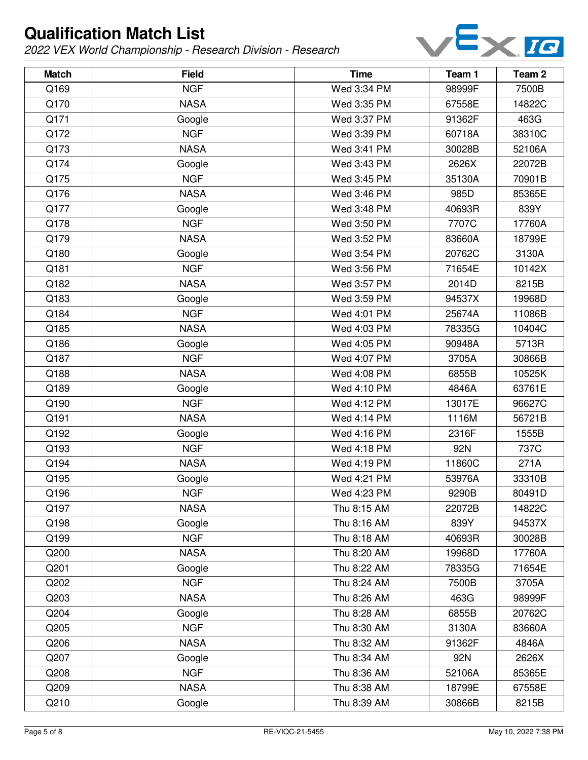

| <b>Match</b> | <b>Field</b> | <b>Time</b> | Team 1 | Team <sub>2</sub> |
|--------------|--------------|-------------|--------|-------------------|
| Q169         | <b>NGF</b>   | Wed 3:34 PM | 98999F | 7500B             |
| Q170         | <b>NASA</b>  | Wed 3:35 PM | 67558E | 14822C            |
| Q171         | Google       | Wed 3:37 PM | 91362F | 463G              |
| Q172         | <b>NGF</b>   | Wed 3:39 PM | 60718A | 38310C            |
| Q173         | <b>NASA</b>  | Wed 3:41 PM | 30028B | 52106A            |
| Q174         | Google       | Wed 3:43 PM | 2626X  | 22072B            |
| Q175         | <b>NGF</b>   | Wed 3:45 PM | 35130A | 70901B            |
| Q176         | <b>NASA</b>  | Wed 3:46 PM | 985D   | 85365E            |
| Q177         | Google       | Wed 3:48 PM | 40693R | 839Y              |
| Q178         | <b>NGF</b>   | Wed 3:50 PM | 7707C  | 17760A            |
| Q179         | <b>NASA</b>  | Wed 3:52 PM | 83660A | 18799E            |
| Q180         | Google       | Wed 3:54 PM | 20762C | 3130A             |
| Q181         | <b>NGF</b>   | Wed 3:56 PM | 71654E | 10142X            |
| Q182         | <b>NASA</b>  | Wed 3:57 PM | 2014D  | 8215B             |
| Q183         | Google       | Wed 3:59 PM | 94537X | 19968D            |
| Q184         | <b>NGF</b>   | Wed 4:01 PM | 25674A | 11086B            |
| Q185         | <b>NASA</b>  | Wed 4:03 PM | 78335G | 10404C            |
| Q186         | Google       | Wed 4:05 PM | 90948A | 5713R             |
| Q187         | <b>NGF</b>   | Wed 4:07 PM | 3705A  | 30866B            |
| Q188         | <b>NASA</b>  | Wed 4:08 PM | 6855B  | 10525K            |
| Q189         | Google       | Wed 4:10 PM | 4846A  | 63761E            |
| Q190         | <b>NGF</b>   | Wed 4:12 PM | 13017E | 96627C            |
| Q191         | <b>NASA</b>  | Wed 4:14 PM | 1116M  | 56721B            |
| Q192         | Google       | Wed 4:16 PM | 2316F  | 1555B             |
| Q193         | <b>NGF</b>   | Wed 4:18 PM | 92N    | 737C              |
| Q194         | <b>NASA</b>  | Wed 4:19 PM | 11860C | 271A              |
| Q195         | Google       | Wed 4:21 PM | 53976A | 33310B            |
| Q196         | <b>NGF</b>   | Wed 4:23 PM | 9290B  | 80491D            |
| Q197         | <b>NASA</b>  | Thu 8:15 AM | 22072B | 14822C            |
| Q198         | Google       | Thu 8:16 AM | 839Y   | 94537X            |
| Q199         | <b>NGF</b>   | Thu 8:18 AM | 40693R | 30028B            |
| Q200         | <b>NASA</b>  | Thu 8:20 AM | 19968D | 17760A            |
| Q201         | Google       | Thu 8:22 AM | 78335G | 71654E            |
| Q202         | <b>NGF</b>   | Thu 8:24 AM | 7500B  | 3705A             |
| Q203         | <b>NASA</b>  | Thu 8:26 AM | 463G   | 98999F            |
| Q204         | Google       | Thu 8:28 AM | 6855B  | 20762C            |
| Q205         | <b>NGF</b>   | Thu 8:30 AM | 3130A  | 83660A            |
| Q206         | <b>NASA</b>  | Thu 8:32 AM | 91362F | 4846A             |
| Q207         | Google       | Thu 8:34 AM | 92N    | 2626X             |
| Q208         | <b>NGF</b>   | Thu 8:36 AM | 52106A | 85365E            |
| Q209         | <b>NASA</b>  | Thu 8:38 AM | 18799E | 67558E            |
| Q210         | Google       | Thu 8:39 AM | 30866B | 8215B             |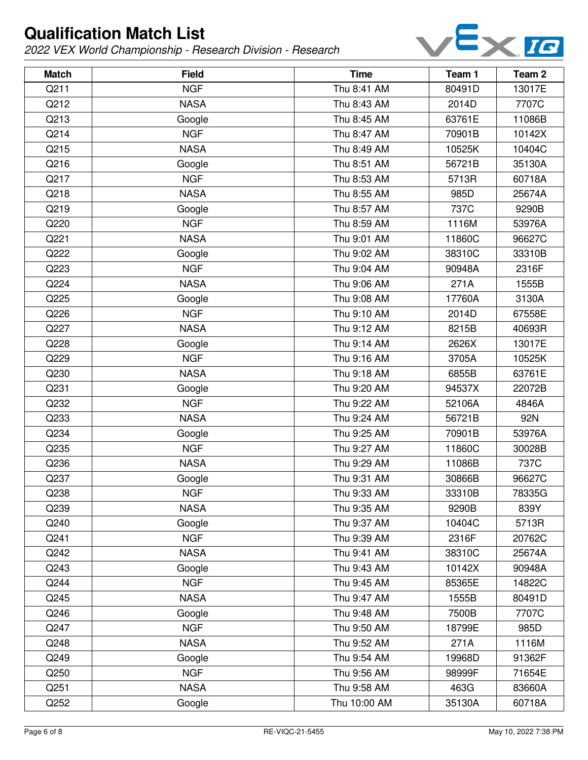

| <b>Match</b> | <b>Field</b> | <b>Time</b>  | Team 1 | Team 2 |
|--------------|--------------|--------------|--------|--------|
| Q211         | <b>NGF</b>   | Thu 8:41 AM  | 80491D | 13017E |
| Q212         | <b>NASA</b>  | Thu 8:43 AM  | 2014D  | 7707C  |
| Q213         | Google       | Thu 8:45 AM  | 63761E | 11086B |
| Q214         | <b>NGF</b>   | Thu 8:47 AM  | 70901B | 10142X |
| Q215         | <b>NASA</b>  | Thu 8:49 AM  | 10525K | 10404C |
| Q216         | Google       | Thu 8:51 AM  | 56721B | 35130A |
| Q217         | <b>NGF</b>   | Thu 8:53 AM  | 5713R  | 60718A |
| Q218         | <b>NASA</b>  | Thu 8:55 AM  | 985D   | 25674A |
| Q219         | Google       | Thu 8:57 AM  | 737C   | 9290B  |
| Q220         | <b>NGF</b>   | Thu 8:59 AM  | 1116M  | 53976A |
| Q221         | <b>NASA</b>  | Thu 9:01 AM  | 11860C | 96627C |
| Q222         | Google       | Thu 9:02 AM  | 38310C | 33310B |
| Q223         | <b>NGF</b>   | Thu 9:04 AM  | 90948A | 2316F  |
| Q224         | <b>NASA</b>  | Thu 9:06 AM  | 271A   | 1555B  |
| Q225         | Google       | Thu 9:08 AM  | 17760A | 3130A  |
| Q226         | <b>NGF</b>   | Thu 9:10 AM  | 2014D  | 67558E |
| Q227         | <b>NASA</b>  | Thu 9:12 AM  | 8215B  | 40693R |
| Q228         | Google       | Thu 9:14 AM  | 2626X  | 13017E |
| Q229         | <b>NGF</b>   | Thu 9:16 AM  | 3705A  | 10525K |
| Q230         | <b>NASA</b>  | Thu 9:18 AM  | 6855B  | 63761E |
| Q231         | Google       | Thu 9:20 AM  | 94537X | 22072B |
| Q232         | <b>NGF</b>   | Thu 9:22 AM  | 52106A | 4846A  |
| Q233         | <b>NASA</b>  | Thu 9:24 AM  | 56721B | 92N    |
| Q234         | Google       | Thu 9:25 AM  | 70901B | 53976A |
| Q235         | <b>NGF</b>   | Thu 9:27 AM  | 11860C | 30028B |
| Q236         | <b>NASA</b>  | Thu 9:29 AM  | 11086B | 737C   |
| Q237         | Google       | Thu 9:31 AM  | 30866B | 96627C |
| Q238         | <b>NGF</b>   | Thu 9:33 AM  | 33310B | 78335G |
| Q239         | <b>NASA</b>  | Thu 9:35 AM  | 9290B  | 839Y   |
| Q240         | Google       | Thu 9:37 AM  | 10404C | 5713R  |
| Q241         | <b>NGF</b>   | Thu 9:39 AM  | 2316F  | 20762C |
| Q242         | <b>NASA</b>  | Thu 9:41 AM  | 38310C | 25674A |
| Q243         | Google       | Thu 9:43 AM  | 10142X | 90948A |
| Q244         | <b>NGF</b>   | Thu 9:45 AM  | 85365E | 14822C |
| Q245         | <b>NASA</b>  | Thu 9:47 AM  | 1555B  | 80491D |
| Q246         | Google       | Thu 9:48 AM  | 7500B  | 7707C  |
| Q247         | <b>NGF</b>   | Thu 9:50 AM  | 18799E | 985D   |
| Q248         | <b>NASA</b>  | Thu 9:52 AM  | 271A   | 1116M  |
| Q249         | Google       | Thu 9:54 AM  | 19968D | 91362F |
| Q250         | <b>NGF</b>   | Thu 9:56 AM  | 98999F | 71654E |
| Q251         | <b>NASA</b>  | Thu 9:58 AM  | 463G   | 83660A |
| Q252         | Google       | Thu 10:00 AM | 35130A | 60718A |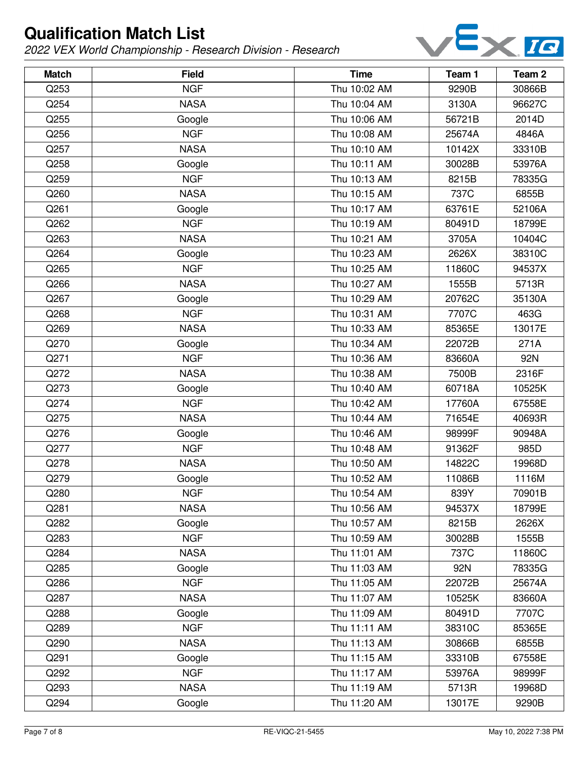

| <b>Match</b> | <b>Field</b> | <b>Time</b>  | Team 1 | Team <sub>2</sub> |
|--------------|--------------|--------------|--------|-------------------|
| Q253         | <b>NGF</b>   | Thu 10:02 AM | 9290B  | 30866B            |
| Q254         | <b>NASA</b>  | Thu 10:04 AM | 3130A  | 96627C            |
| Q255         | Google       | Thu 10:06 AM | 56721B | 2014D             |
| Q256         | <b>NGF</b>   | Thu 10:08 AM | 25674A | 4846A             |
| Q257         | <b>NASA</b>  | Thu 10:10 AM | 10142X | 33310B            |
| Q258         | Google       | Thu 10:11 AM | 30028B | 53976A            |
| Q259         | <b>NGF</b>   | Thu 10:13 AM | 8215B  | 78335G            |
| Q260         | <b>NASA</b>  | Thu 10:15 AM | 737C   | 6855B             |
| Q261         | Google       | Thu 10:17 AM | 63761E | 52106A            |
| Q262         | <b>NGF</b>   | Thu 10:19 AM | 80491D | 18799E            |
| Q263         | <b>NASA</b>  | Thu 10:21 AM | 3705A  | 10404C            |
| Q264         | Google       | Thu 10:23 AM | 2626X  | 38310C            |
| Q265         | <b>NGF</b>   | Thu 10:25 AM | 11860C | 94537X            |
| Q266         | <b>NASA</b>  | Thu 10:27 AM | 1555B  | 5713R             |
| Q267         | Google       | Thu 10:29 AM | 20762C | 35130A            |
| Q268         | <b>NGF</b>   | Thu 10:31 AM | 7707C  | 463G              |
| Q269         | <b>NASA</b>  | Thu 10:33 AM | 85365E | 13017E            |
| Q270         | Google       | Thu 10:34 AM | 22072B | 271A              |
| Q271         | <b>NGF</b>   | Thu 10:36 AM | 83660A | 92N               |
| Q272         | <b>NASA</b>  | Thu 10:38 AM | 7500B  | 2316F             |
| Q273         | Google       | Thu 10:40 AM | 60718A | 10525K            |
| Q274         | <b>NGF</b>   | Thu 10:42 AM | 17760A | 67558E            |
| Q275         | <b>NASA</b>  | Thu 10:44 AM | 71654E | 40693R            |
| Q276         | Google       | Thu 10:46 AM | 98999F | 90948A            |
| Q277         | <b>NGF</b>   | Thu 10:48 AM | 91362F | 985D              |
| Q278         | <b>NASA</b>  | Thu 10:50 AM | 14822C | 19968D            |
| Q279         | Google       | Thu 10:52 AM | 11086B | 1116M             |
| Q280         | <b>NGF</b>   | Thu 10:54 AM | 839Y   | 70901B            |
| Q281         | <b>NASA</b>  | Thu 10:56 AM | 94537X | 18799E            |
| Q282         | Google       | Thu 10:57 AM | 8215B  | 2626X             |
| Q283         | <b>NGF</b>   | Thu 10:59 AM | 30028B | 1555B             |
| Q284         | <b>NASA</b>  | Thu 11:01 AM | 737C   | 11860C            |
| Q285         | Google       | Thu 11:03 AM | 92N    | 78335G            |
| Q286         | <b>NGF</b>   | Thu 11:05 AM | 22072B | 25674A            |
| Q287         | <b>NASA</b>  | Thu 11:07 AM | 10525K | 83660A            |
| Q288         | Google       | Thu 11:09 AM | 80491D | 7707C             |
| Q289         | <b>NGF</b>   | Thu 11:11 AM | 38310C | 85365E            |
| Q290         | <b>NASA</b>  | Thu 11:13 AM | 30866B | 6855B             |
| Q291         | Google       | Thu 11:15 AM | 33310B | 67558E            |
| Q292         | <b>NGF</b>   | Thu 11:17 AM | 53976A | 98999F            |
| Q293         | <b>NASA</b>  | Thu 11:19 AM | 5713R  | 19968D            |
| Q294         | Google       | Thu 11:20 AM | 13017E | 9290B             |